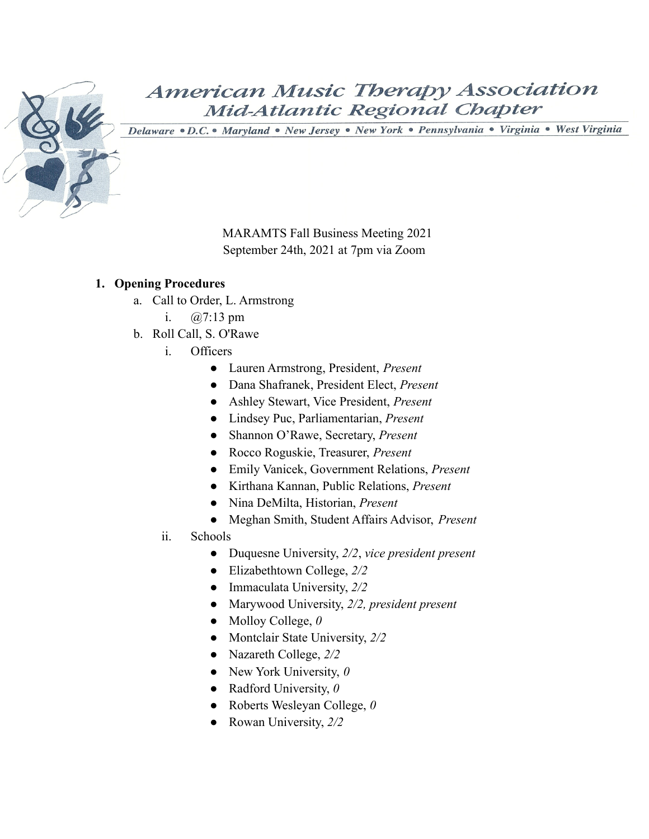

Delaware · D.C. · Maryland · New Jersey · New York · Pennsylvania · Virginia · West Virginia

MARAMTS Fall Business Meeting 2021 September 24th, 2021 at 7pm via Zoom

#### **1. Opening Procedures**

- a. Call to Order, L. Armstrong
	- i. @7:13 pm
- b. Roll Call, S. O'Rawe
	- i. Officers
		- Lauren Armstrong, President, *Present*
		- Dana Shafranek, President Elect, *Present*
		- Ashley Stewart, Vice President, *Present*
		- Lindsey Puc, Parliamentarian, *Present*
		- Shannon O'Rawe, Secretary, *Present*
		- Rocco Roguskie, Treasurer, *Present*
		- Emily Vanicek, Government Relations, *Present*
		- Kirthana Kannan, Public Relations, *Present*
		- Nina DeMilta, Historian, *Present*
		- Meghan Smith, Student Affairs Advisor, *Present*
	- ii. Schools
		- Duquesne University, *2/2*, *vice president present*
		- Elizabethtown College, *2/2*
		- Immaculata University, *2/2*
		- Marywood University, *2/2, president present*
		- Molloy College, *0*
		- Montclair State University, *2/2*
		- Nazareth College, *2/2*
		- New York University, *0*
		- Radford University, *0*
		- Roberts Wesleyan College, *0*
		- Rowan University, *2/2*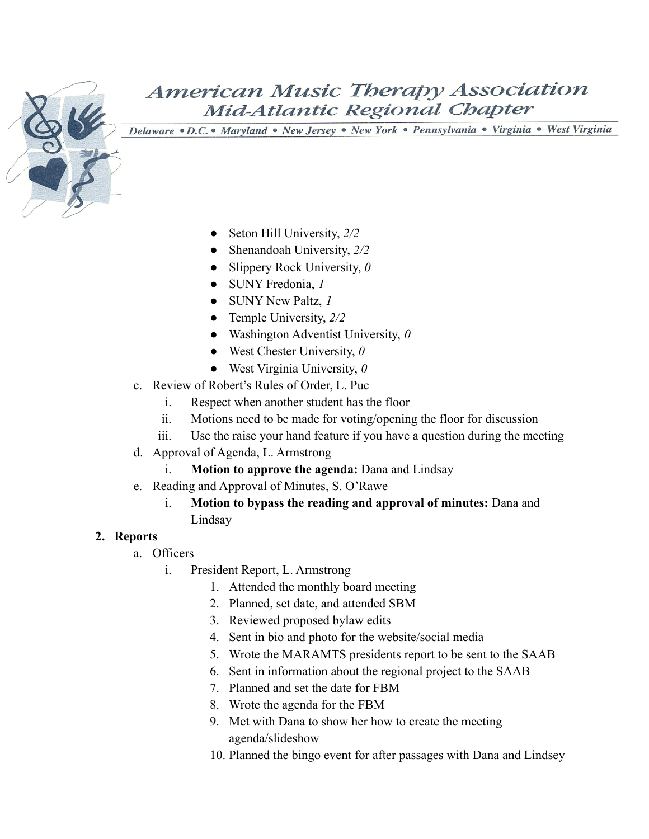

Delaware . D.C. . Maryland . New Jersey . New York . Pennsylvania . Virginia . West Virginia

- Seton Hill University,  $2/2$
- Shenandoah University, *2/2*
- Slippery Rock University, *0*
- SUNY Fredonia, *1*
- SUNY New Paltz, *1*
- Temple University, *2/2*
- Washington Adventist University, *0*
- West Chester University, *0*
- West Virginia University, *0*
- c. Review of Robert's Rules of Order, L. Puc
	- i. Respect when another student has the floor
	- ii. Motions need to be made for voting/opening the floor for discussion
	- iii. Use the raise your hand feature if you have a question during the meeting
- d. Approval of Agenda, L. Armstrong
	- i. **Motion to approve the agenda:** Dana and Lindsay
- e. Reading and Approval of Minutes, S. O'Rawe
	- i. **Motion to bypass the reading and approval of minutes:** Dana and Lindsay

#### **2. Reports**

- a. Officers
	- i. President Report, L. Armstrong
		- 1. Attended the monthly board meeting
		- 2. Planned, set date, and attended SBM
		- 3. Reviewed proposed bylaw edits
		- 4. Sent in bio and photo for the website/social media
		- 5. Wrote the MARAMTS presidents report to be sent to the SAAB
		- 6. Sent in information about the regional project to the SAAB
		- 7. Planned and set the date for FBM
		- 8. Wrote the agenda for the FBM
		- 9. Met with Dana to show her how to create the meeting agenda/slideshow
		- 10. Planned the bingo event for after passages with Dana and Lindsey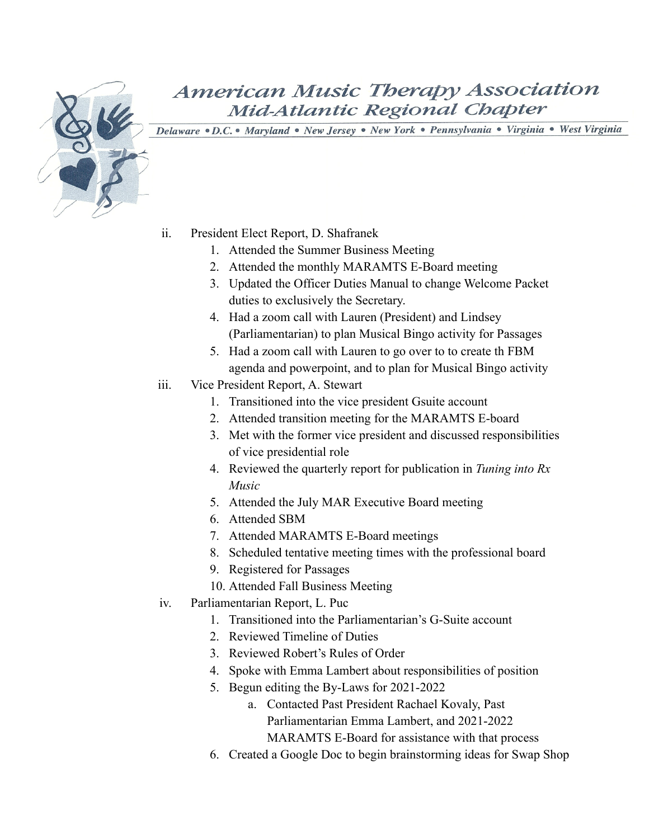

- ii. President Elect Report, D. Shafranek
	- 1. Attended the Summer Business Meeting
	- 2. Attended the monthly MARAMTS E-Board meeting
	- 3. Updated the Officer Duties Manual to change Welcome Packet duties to exclusively the Secretary.
	- 4. Had a zoom call with Lauren (President) and Lindsey (Parliamentarian) to plan Musical Bingo activity for Passages
	- 5. Had a zoom call with Lauren to go over to to create th FBM agenda and powerpoint, and to plan for Musical Bingo activity
- iii. Vice President Report, A. Stewart
	- 1. Transitioned into the vice president Gsuite account
	- 2. Attended transition meeting for the MARAMTS E-board
	- 3. Met with the former vice president and discussed responsibilities of vice presidential role
	- 4. Reviewed the quarterly report for publication in *Tuning into Rx Music*
	- 5. Attended the July MAR Executive Board meeting
	- 6. Attended SBM
	- 7. Attended MARAMTS E-Board meetings
	- 8. Scheduled tentative meeting times with the professional board
	- 9. Registered for Passages
	- 10. Attended Fall Business Meeting
- iv. Parliamentarian Report, L. Puc
	- 1. Transitioned into the Parliamentarian's G-Suite account
	- 2. Reviewed Timeline of Duties
	- 3. Reviewed Robert's Rules of Order
	- 4. Spoke with Emma Lambert about responsibilities of position
	- 5. Begun editing the By-Laws for 2021-2022
		- a. Contacted Past President Rachael Kovaly, Past Parliamentarian Emma Lambert, and 2021-2022 MARAMTS E-Board for assistance with that process
	- 6. Created a Google Doc to begin brainstorming ideas for Swap Shop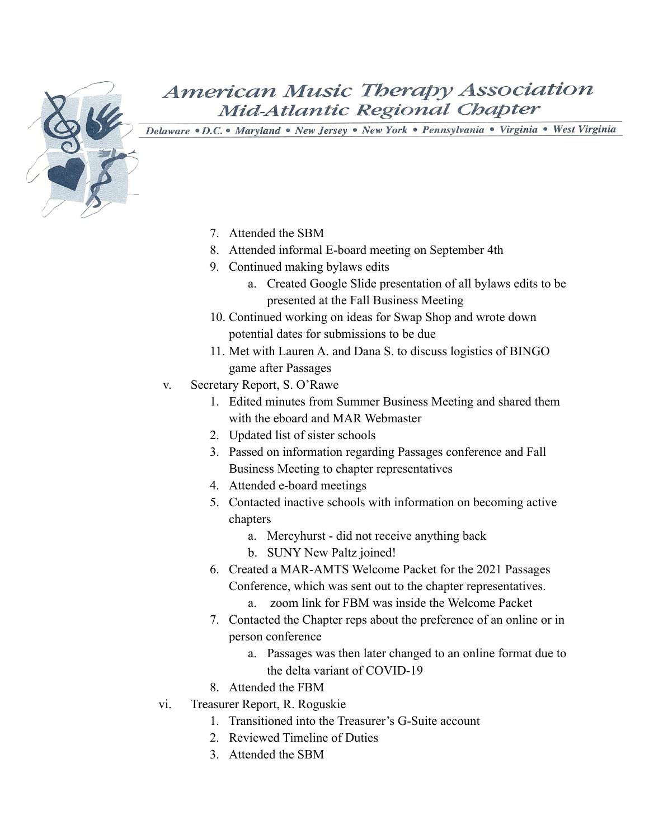- 7. Attended the SBM
- 8. Attended informal E-board meeting on September 4th
- 9. Continued making bylaws edits
	- a. Created Google Slide presentation of all bylaws edits to be presented at the Fall Business Meeting
- 10. Continued working on ideas for Swap Shop and wrote down potential dates for submissions to be due
- 11. Met with Lauren A. and Dana S. to discuss logistics of BINGO game after Passages
- v. Secretary Report, S. O'Rawe
	- 1. Edited minutes from Summer Business Meeting and shared them with the eboard and MAR Webmaster
	- 2. Updated list of sister schools
	- 3. Passed on information regarding Passages conference and Fall Business Meeting to chapter representatives
	- 4. Attended e-board meetings
	- 5. Contacted inactive schools with information on becoming active chapters
		- a. Mercyhurst did not receive anything back
		- b. SUNY New Paltz joined!
	- 6. Created a MAR-AMTS Welcome Packet for the 2021 Passages Conference, which was sent out to the chapter representatives.
		- a. zoom link for FBM was inside the Welcome Packet
	- 7. Contacted the Chapter reps about the preference of an online or in person conference
		- a. Passages was then later changed to an online format due to the delta variant of COVID-19
	- 8. Attended the FBM
- vi. Treasurer Report, R. Roguskie
	- 1. Transitioned into the Treasurer's G-Suite account
	- 2. Reviewed Timeline of Duties
	- 3. Attended the SBM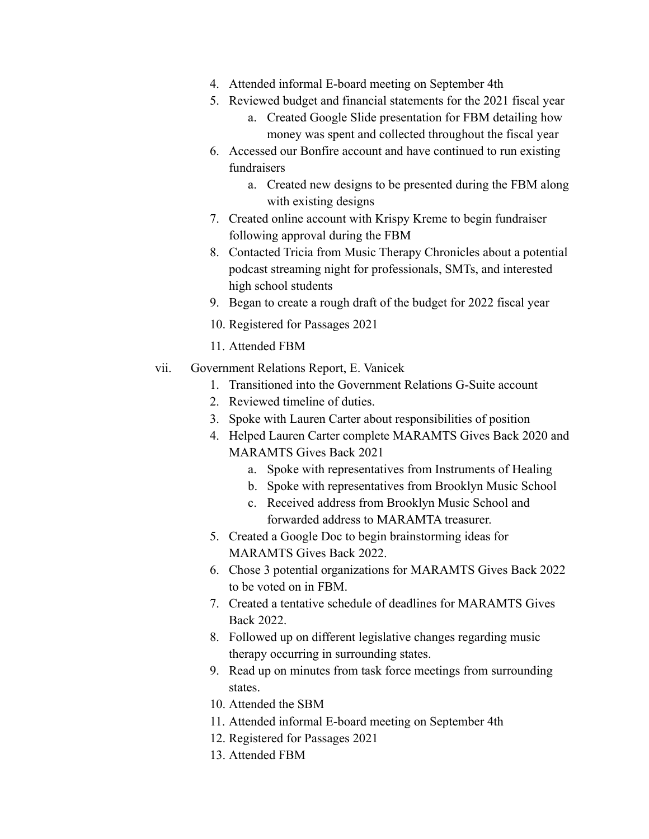- 4. Attended informal E-board meeting on September 4th
- 5. Reviewed budget and financial statements for the 2021 fiscal year
	- a. Created Google Slide presentation for FBM detailing how money was spent and collected throughout the fiscal year
- 6. Accessed our Bonfire account and have continued to run existing fundraisers
	- a. Created new designs to be presented during the FBM along with existing designs
- 7. Created online account with Krispy Kreme to begin fundraiser following approval during the FBM
- 8. Contacted Tricia from Music Therapy Chronicles about a potential podcast streaming night for professionals, SMTs, and interested high school students
- 9. Began to create a rough draft of the budget for 2022 fiscal year
- 10. Registered for Passages 2021
- 11. Attended FBM
- vii. Government Relations Report, E. Vanicek
	- 1. Transitioned into the Government Relations G-Suite account
	- 2. Reviewed timeline of duties.
	- 3. Spoke with Lauren Carter about responsibilities of position
	- 4. Helped Lauren Carter complete MARAMTS Gives Back 2020 and MARAMTS Gives Back 2021
		- a. Spoke with representatives from Instruments of Healing
		- b. Spoke with representatives from Brooklyn Music School
		- c. Received address from Brooklyn Music School and forwarded address to MARAMTA treasurer.
	- 5. Created a Google Doc to begin brainstorming ideas for MARAMTS Gives Back 2022.
	- 6. Chose 3 potential organizations for MARAMTS Gives Back 2022 to be voted on in FBM.
	- 7. Created a tentative schedule of deadlines for MARAMTS Gives Back 2022.
	- 8. Followed up on different legislative changes regarding music therapy occurring in surrounding states.
	- 9. Read up on minutes from task force meetings from surrounding states.
	- 10. Attended the SBM
	- 11. Attended informal E-board meeting on September 4th
	- 12. Registered for Passages 2021
	- 13. Attended FBM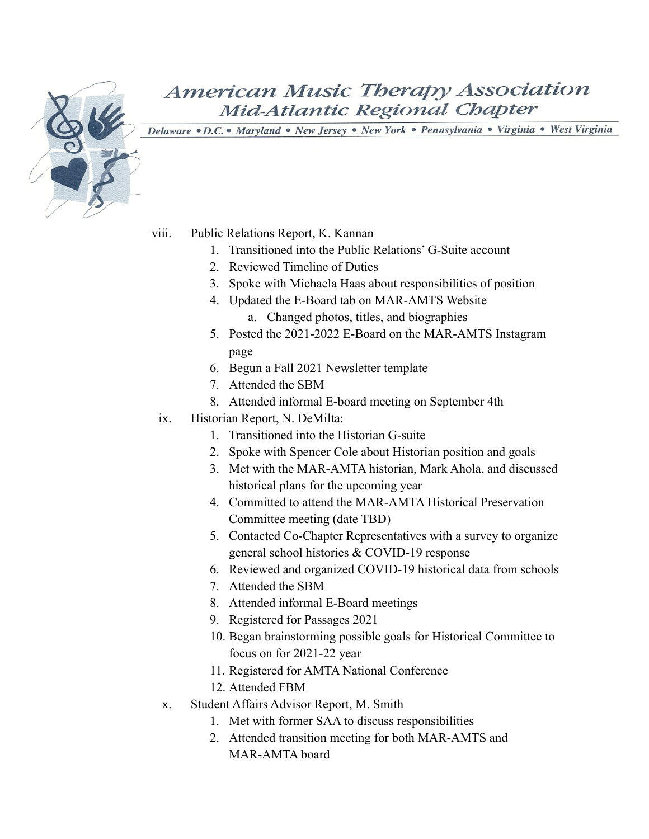

Delaware . D.C. . Maryland . New Jersey . New York . Pennsylvania . Virginia . West Virginia

viii. Public Relations Report, K. Kannan

- 1. Transitioned into the Public Relations' G-Suite account
- 2. Reviewed Timeline of Duties
- 3. Spoke with Michaela Haas about responsibilities of position
- 4. Updated the E-Board tab on MAR-AMTS Website a. Changed photos, titles, and biographies
- 5. Posted the 2021-2022 E-Board on the MAR-AMTS Instagram page
- 6. Begun a Fall 2021 Newsletter template
- 7. Attended the SBM
- 8. Attended informal E-board meeting on September 4th
- ix. Historian Report, N. DeMilta:
	- 1. Transitioned into the Historian G-suite
	- 2. Spoke with Spencer Cole about Historian position and goals
	- 3. Met with the MAR-AMTA historian, Mark Ahola, and discussed historical plans for the upcoming year
	- 4. Committed to attend the MAR-AMTA Historical Preservation Committee meeting (date TBD)
	- 5. Contacted Co-Chapter Representatives with a survey to organize general school histories & COVID-19 response
	- 6. Reviewed and organized COVID-19 historical data from schools
	- 7. Attended the SBM
	- 8. Attended informal E-Board meetings
	- 9. Registered for Passages 2021
	- 10. Began brainstorming possible goals for Historical Committee to focus on for 2021-22 year
	- 11. Registered for AMTA National Conference
	- 12. Attended FBM
- x. Student Affairs Advisor Report, M. Smith
	- 1. Met with former SAA to discuss responsibilities
	- 2. Attended transition meeting for both MAR-AMTS and MAR-AMTA board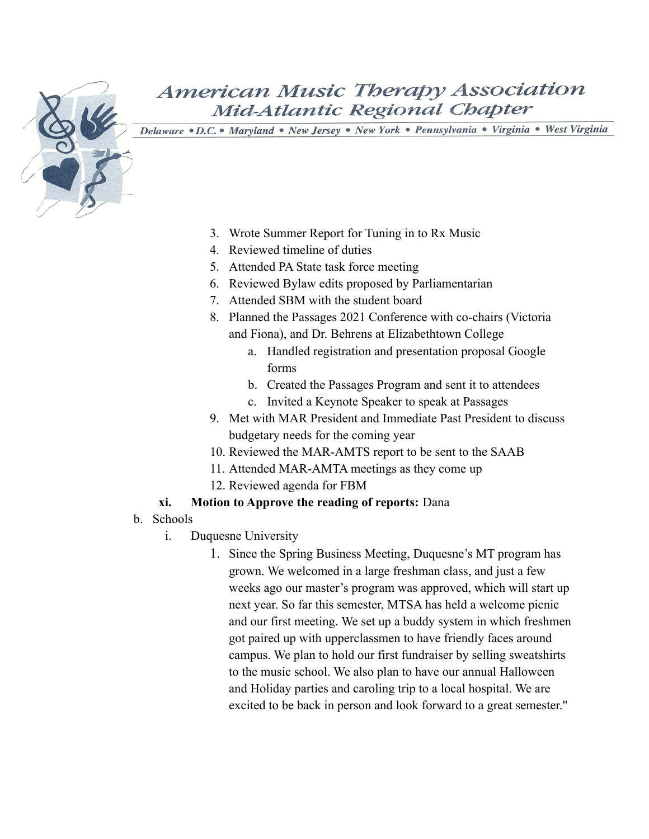Delaware . D.C. . Maryland . New Jersey . New York . Pennsylvania . Virginia . West Virginia

- 3. Wrote Summer Report for Tuning in to Rx Music
- 4. Reviewed timeline of duties
- 5. Attended PA State task force meeting
- 6. Reviewed Bylaw edits proposed by Parliamentarian
- 7. Attended SBM with the student board
- 8. Planned the Passages 2021 Conference with co-chairs (Victoria and Fiona), and Dr. Behrens at Elizabethtown College
	- a. Handled registration and presentation proposal Google forms
	- b. Created the Passages Program and sent it to attendees
	- c. Invited a Keynote Speaker to speak at Passages
- 9. Met with MAR President and Immediate Past President to discuss budgetary needs for the coming year
- 10. Reviewed the MAR-AMTS report to be sent to the SAAB
- 11. Attended MAR-AMTA meetings as they come up
- 12. Reviewed agenda for FBM

#### **xi. Motion to Approve the reading of reports:** Dana

- b. Schools
	- i. Duquesne University
		- 1. Since the Spring Business Meeting, Duquesne's MT program has grown. We welcomed in a large freshman class, and just a few weeks ago our master's program was approved, which will start up next year. So far this semester, MTSA has held a welcome picnic and our first meeting. We set up a buddy system in which freshmen got paired up with upperclassmen to have friendly faces around campus. We plan to hold our first fundraiser by selling sweatshirts to the music school. We also plan to have our annual Halloween and Holiday parties and caroling trip to a local hospital. We are excited to be back in person and look forward to a great semester."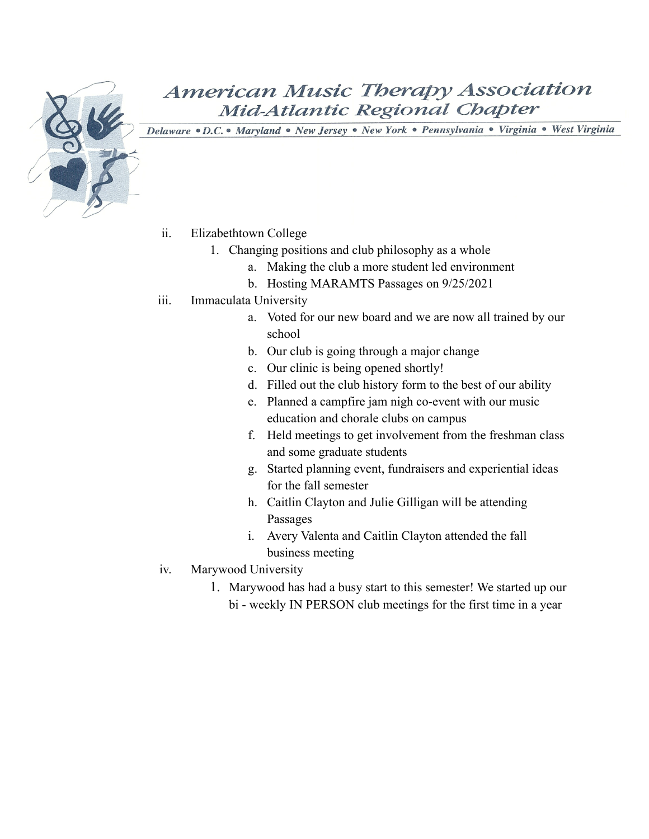

- ii. Elizabethtown College
	- 1. Changing positions and club philosophy as a whole
		- a. Making the club a more student led environment
		- b. Hosting MARAMTS Passages on 9/25/2021
- iii. Immaculata University
	- a. Voted for our new board and we are now all trained by our school
	- b. Our club is going through a major change
	- c. Our clinic is being opened shortly!
	- d. Filled out the club history form to the best of our ability
	- e. Planned a campfire jam nigh co-event with our music education and chorale clubs on campus
	- f. Held meetings to get involvement from the freshman class and some graduate students
	- g. Started planning event, fundraisers and experiential ideas for the fall semester
	- h. Caitlin Clayton and Julie Gilligan will be attending Passages
	- i. Avery Valenta and Caitlin Clayton attended the fall business meeting
- iv. Marywood University
	- 1. Marywood has had a busy start to this semester! We started up our bi - weekly IN PERSON club meetings for the first time in a year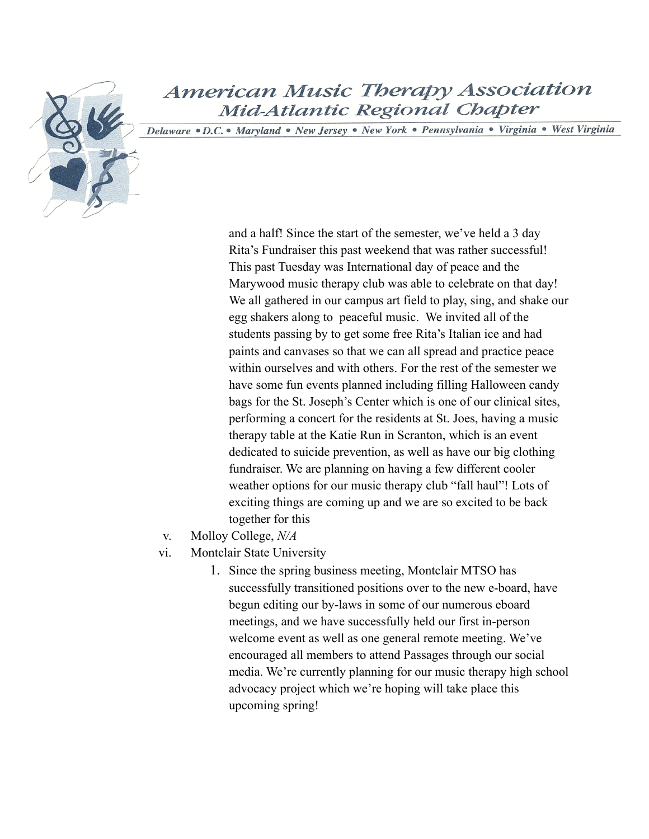Delaware . D.C. . Maryland . New Jersey . New York . Pennsylvania . Virginia . West Virginia

and a half! Since the start of the semester, we've held a 3 day Rita's Fundraiser this past weekend that was rather successful! This past Tuesday was International day of peace and the Marywood music therapy club was able to celebrate on that day! We all gathered in our campus art field to play, sing, and shake our egg shakers along to peaceful music. We invited all of the students passing by to get some free Rita's Italian ice and had paints and canvases so that we can all spread and practice peace within ourselves and with others. For the rest of the semester we have some fun events planned including filling Halloween candy bags for the St. Joseph's Center which is one of our clinical sites, performing a concert for the residents at St. Joes, having a music therapy table at the Katie Run in Scranton, which is an event dedicated to suicide prevention, as well as have our big clothing fundraiser. We are planning on having a few different cooler weather options for our music therapy club "fall haul"! Lots of exciting things are coming up and we are so excited to be back together for this

- v. Molloy College, *N/A*
- vi. Montclair State University
	- 1. Since the spring business meeting, Montclair MTSO has successfully transitioned positions over to the new e-board, have begun editing our by-laws in some of our numerous eboard meetings, and we have successfully held our first in-person welcome event as well as one general remote meeting. We've encouraged all members to attend Passages through our social media. We're currently planning for our music therapy high school advocacy project which we're hoping will take place this upcoming spring!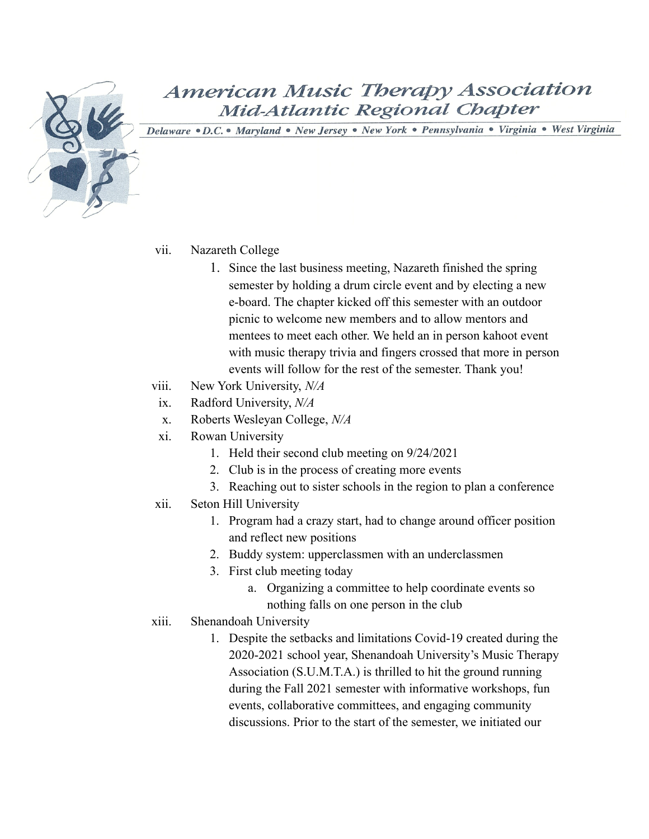

Delaware .D.C. · Maryland · New Jersey · New York · Pennsylvania · Virginia · West Virginia

#### vii. Nazareth College

- 1. Since the last business meeting, Nazareth finished the spring semester by holding a drum circle event and by electing a new e-board. The chapter kicked off this semester with an outdoor picnic to welcome new members and to allow mentors and mentees to meet each other. We held an in person kahoot event with music therapy trivia and fingers crossed that more in person events will follow for the rest of the semester. Thank you!
- viii. New York University, *N/A*
- ix. Radford University, *N/A*
- x. Roberts Wesleyan College, *N/A*
- xi. Rowan University
	- 1. Held their second club meeting on 9/24/2021
	- 2. Club is in the process of creating more events
	- 3. Reaching out to sister schools in the region to plan a conference
- xii. Seton Hill University
	- 1. Program had a crazy start, had to change around officer position and reflect new positions
	- 2. Buddy system: upperclassmen with an underclassmen
	- 3. First club meeting today
		- a. Organizing a committee to help coordinate events so nothing falls on one person in the club
- xiii. Shenandoah University
	- 1. Despite the setbacks and limitations Covid-19 created during the 2020-2021 school year, Shenandoah University's Music Therapy Association (S.U.M.T.A.) is thrilled to hit the ground running during the Fall 2021 semester with informative workshops, fun events, collaborative committees, and engaging community discussions. Prior to the start of the semester, we initiated our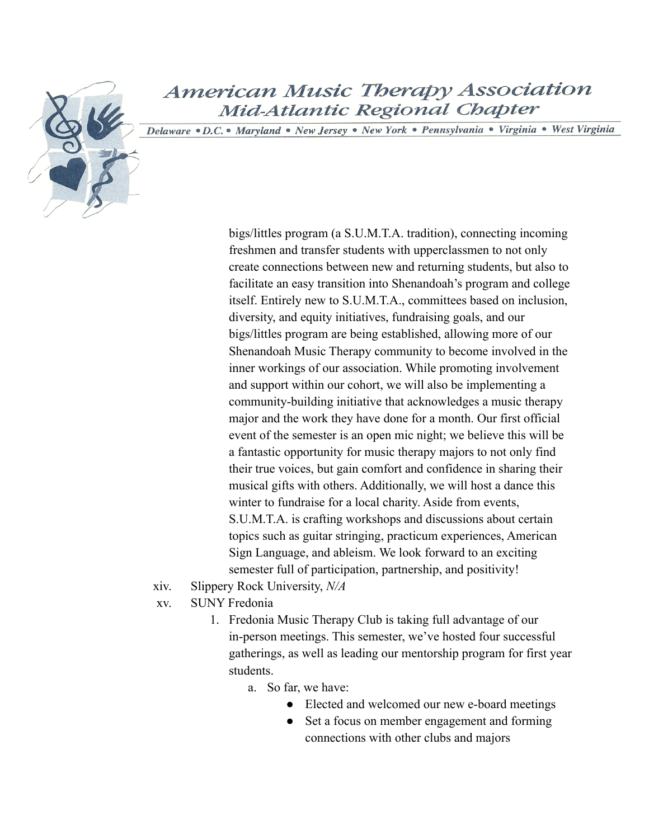Delaware . D.C. . Maryland . New Jersey . New York . Pennsylvania . Virginia . West Virginia

bigs/littles program (a S.U.M.T.A. tradition), connecting incoming freshmen and transfer students with upperclassmen to not only create connections between new and returning students, but also to facilitate an easy transition into Shenandoah's program and college itself. Entirely new to S.U.M.T.A., committees based on inclusion, diversity, and equity initiatives, fundraising goals, and our bigs/littles program are being established, allowing more of our Shenandoah Music Therapy community to become involved in the inner workings of our association. While promoting involvement and support within our cohort, we will also be implementing a community-building initiative that acknowledges a music therapy major and the work they have done for a month. Our first official event of the semester is an open mic night; we believe this will be a fantastic opportunity for music therapy majors to not only find their true voices, but gain comfort and confidence in sharing their musical gifts with others. Additionally, we will host a dance this winter to fundraise for a local charity. Aside from events, S.U.M.T.A. is crafting workshops and discussions about certain topics such as guitar stringing, practicum experiences, American Sign Language, and ableism. We look forward to an exciting semester full of participation, partnership, and positivity!

- xiv. Slippery Rock University, *N/A*
- xv. SUNY Fredonia
	- 1. Fredonia Music Therapy Club is taking full advantage of our in-person meetings. This semester, we've hosted four successful gatherings, as well as leading our mentorship program for first year students.
		- a. So far, we have:
			- Elected and welcomed our new e-board meetings
			- Set a focus on member engagement and forming connections with other clubs and majors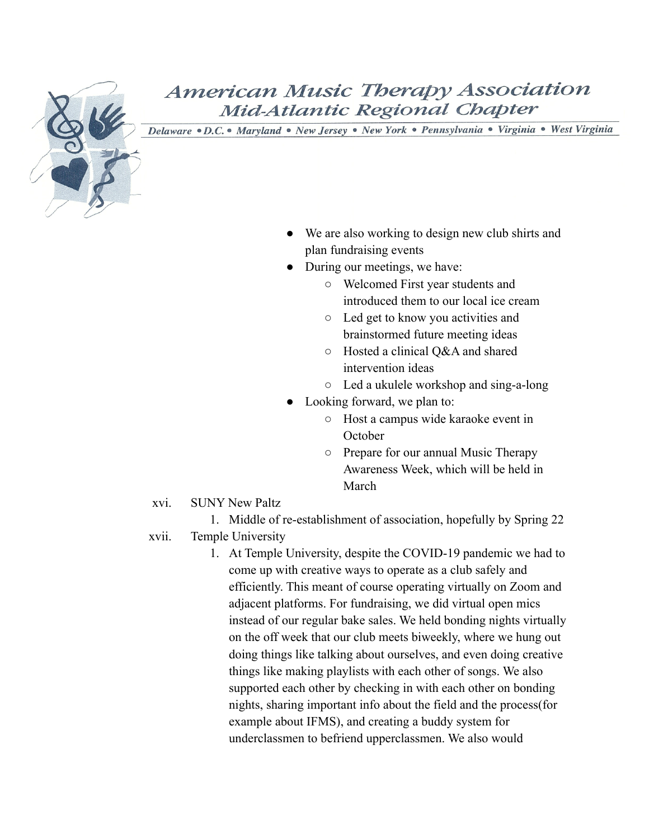

Delaware . D.C. . Maryland . New Jersey . New York . Pennsylvania . Virginia . West Virginia

- We are also working to design new club shirts and plan fundraising events
- During our meetings, we have:
	- Welcomed First year students and introduced them to our local ice cream
	- Led get to know you activities and brainstormed future meeting ideas
	- Hosted a clinical Q&A and shared intervention ideas
	- Led a ukulele workshop and sing-a-long
- Looking forward, we plan to:
	- Host a campus wide karaoke event in **October**
	- Prepare for our annual Music Therapy Awareness Week, which will be held in March
- xvi. SUNY New Paltz

1. Middle of re-establishment of association, hopefully by Spring 22 xvii. Temple University

> 1. At Temple University, despite the COVID-19 pandemic we had to come up with creative ways to operate as a club safely and efficiently. This meant of course operating virtually on Zoom and adjacent platforms. For fundraising, we did virtual open mics instead of our regular bake sales. We held bonding nights virtually on the off week that our club meets biweekly, where we hung out doing things like talking about ourselves, and even doing creative things like making playlists with each other of songs. We also supported each other by checking in with each other on bonding nights, sharing important info about the field and the process(for example about IFMS), and creating a buddy system for underclassmen to befriend upperclassmen. We also would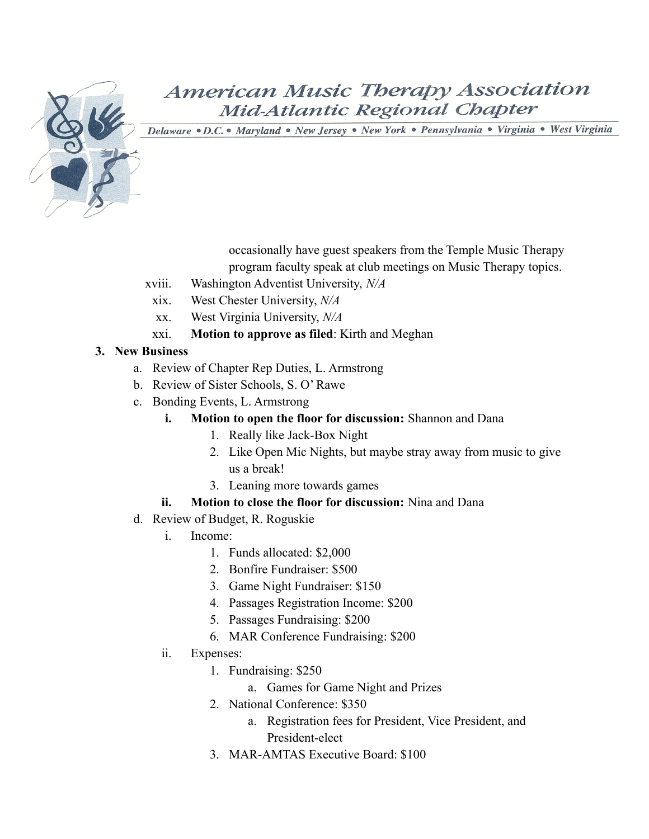![](_page_12_Picture_0.jpeg)

Delaware . D.C. . Maryland . New Jersey . New York . Pennsylvania . Virginia . West Virginia

occasionally have guest speakers from the Temple Music Therapy program faculty speak at club meetings on Music Therapy topics.

- xviii. Washington Adventist University, *N/A*
- xix. West Chester University, *N/A*
- xx. West Virginia University, *N/A*
- xxi. **Motion to approve as filed**: Kirth and Meghan

#### **3. New Business**

- a. Review of Chapter Rep Duties, L. Armstrong
- b. Review of Sister Schools, S. O' Rawe
- c. Bonding Events, L. Armstrong
	- **i. Motion to open the floor for discussion:** Shannon and Dana
		- 1. Really like Jack-Box Night
		- 2. Like Open Mic Nights, but maybe stray away from music to give us a break!
		- 3. Leaning more towards games

#### **ii. Motion to close the floor for discussion:** Nina and Dana

- d. Review of Budget, R. Roguskie
	- i. Income:
		- 1. Funds allocated: \$2,000
		- 2. Bonfire Fundraiser: \$500
		- 3. Game Night Fundraiser: \$150
		- 4. Passages Registration Income: \$200
		- 5. Passages Fundraising: \$200
		- 6. MAR Conference Fundraising: \$200
	- ii. Expenses:
		- 1. Fundraising: \$250
			- a. Games for Game Night and Prizes
		- 2. National Conference: \$350
			- a. Registration fees for President, Vice President, and President-elect
		- 3. MAR-AMTAS Executive Board: \$100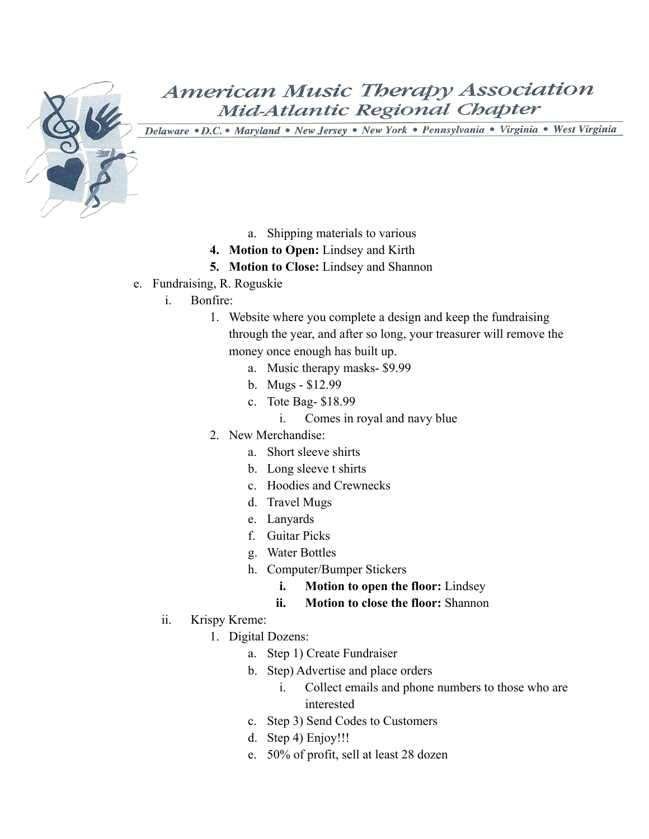![](_page_13_Picture_0.jpeg)

- a. Shipping materials to various
- **4. Motion to Open:** Lindsey and Kirth
- **5. Motion to Close:** Lindsey and Shannon
- e. Fundraising, R. Roguskie
	- i. Bonfire:
		- 1. Website where you complete a design and keep the fundraising through the year, and after so long, your treasurer will remove the money once enough has built up.
			- a. Music therapy masks- \$9.99
			- b. Mugs \$12.99
			- c. Tote Bag- \$18.99
				- i. Comes in royal and navy blue
		- 2. New Merchandise:
			- a. Short sleeve shirts
			- b. Long sleeve t shirts
			- c. Hoodies and Crewnecks
			- d. Travel Mugs
			- e. Lanyards
			- f. Guitar Picks
			- g. Water Bottles
			- h. Computer/Bumper Stickers
				- **i. Motion to open the floor:** Lindsey
				- **ii. Motion to close the floor:** Shannon
	- ii. Krispy Kreme:
		- 1. Digital Dozens:
			- a. Step 1) Create Fundraiser
			- b. Step) Advertise and place orders
				- i. Collect emails and phone numbers to those who are interested
			- c. Step 3) Send Codes to Customers
			- d. Step 4) Enjoy!!!
			- e. 50% of profit, sell at least 28 dozen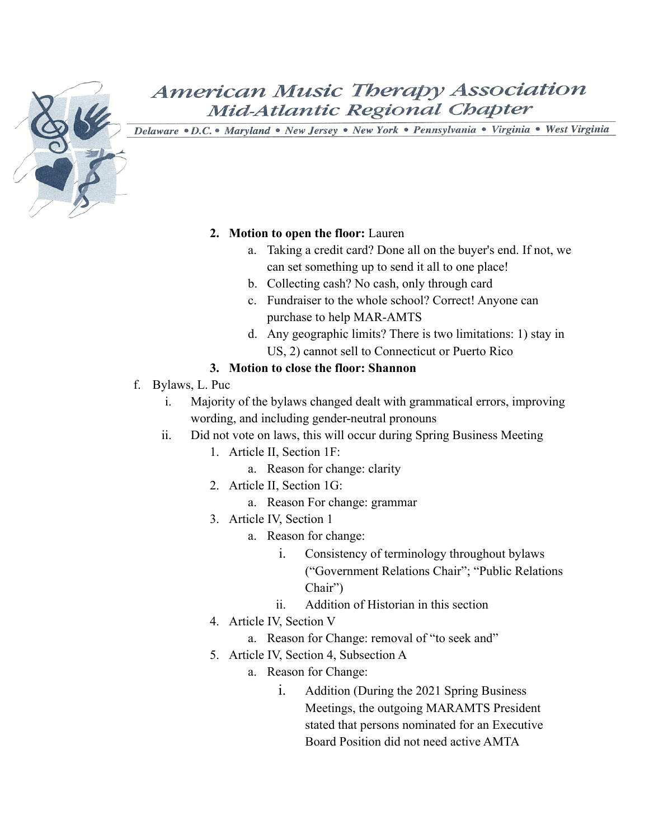![](_page_14_Picture_0.jpeg)

Delaware . D.C. . Maryland . New Jersey . New York . Pennsylvania . Virginia . West Virginia

#### **2. Motion to open the floor:** Lauren

- a. Taking a credit card? Done all on the buyer's end. If not, we can set something up to send it all to one place!
- b. Collecting cash? No cash, only through card
- c. Fundraiser to the whole school? Correct! Anyone can purchase to help MAR-AMTS
- d. Any geographic limits? There is two limitations: 1) stay in US, 2) cannot sell to Connecticut or Puerto Rico

#### **3. Motion to close the floor: Shannon**

- f. Bylaws, L. Puc
	- i. Majority of the bylaws changed dealt with grammatical errors, improving wording, and including gender-neutral pronouns
	- ii. Did not vote on laws, this will occur during Spring Business Meeting
		- 1. Article II, Section 1F:
			- a. Reason for change: clarity
		- 2. Article II, Section 1G:
			- a. Reason For change: grammar
		- 3. Article IV, Section 1
			- a. Reason for change:
				- i. Consistency of terminology throughout bylaws ("Government Relations Chair"; "Public Relations Chair")
				- ii. Addition of Historian in this section
		- 4. Article IV, Section V
			- a. Reason for Change: removal of "to seek and"
		- 5. Article IV, Section 4, Subsection A
			- a. Reason for Change:
				- i. Addition (During the 2021 Spring Business Meetings, the outgoing MARAMTS President stated that persons nominated for an Executive Board Position did not need active AMTA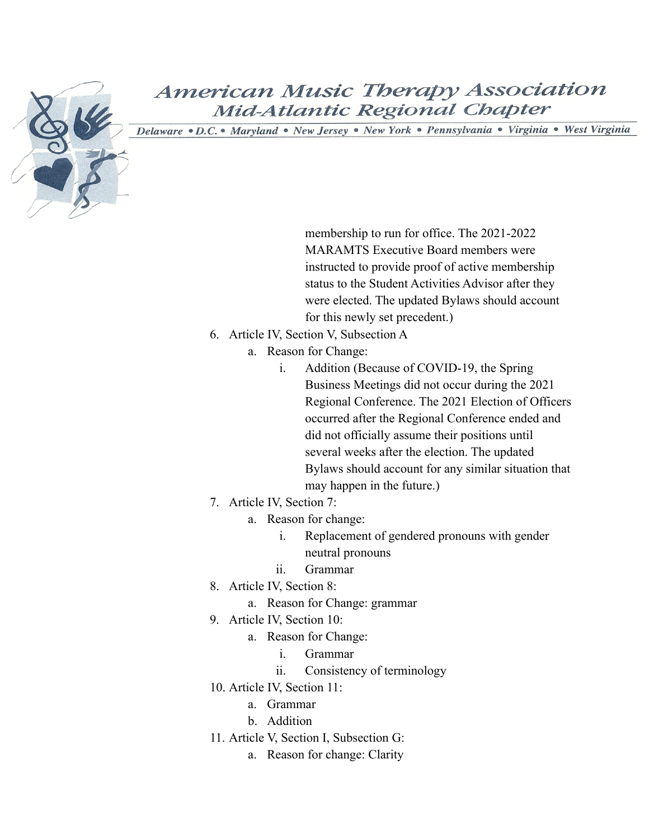![](_page_15_Picture_0.jpeg)

Delaware · D.C. · Maryland · New Jersey · New York · Pennsylvania · Virginia · West Virginia

membership to run for office. The 2021-2022 MARAMTS Executive Board members were instructed to provide proof of active membership status to the Student Activities Advisor after they were elected. The updated Bylaws should account for this newly set precedent.)

- 6. Article IV, Section V, Subsection A
	- a. Reason for Change:
		- i. Addition (Because of COVID-19, the Spring Business Meetings did not occur during the 2021 Regional Conference. The 2021 Election of Officers occurred after the Regional Conference ended and did not officially assume their positions until several weeks after the election. The updated Bylaws should account for any similar situation that may happen in the future.)
- 7. Article IV, Section 7:
	- a. Reason for change:
		- i. Replacement of gendered pronouns with gender neutral pronouns
		- ii. Grammar
- 8. Article IV, Section 8:
	- a. Reason for Change: grammar
- 9. Article IV, Section 10:
	- a. Reason for Change:
		- i. Grammar
		- ii. Consistency of terminology
- 10. Article IV, Section 11:
	- a. Grammar
	- b. Addition
- 11. Article V, Section I, Subsection G:
	- a. Reason for change: Clarity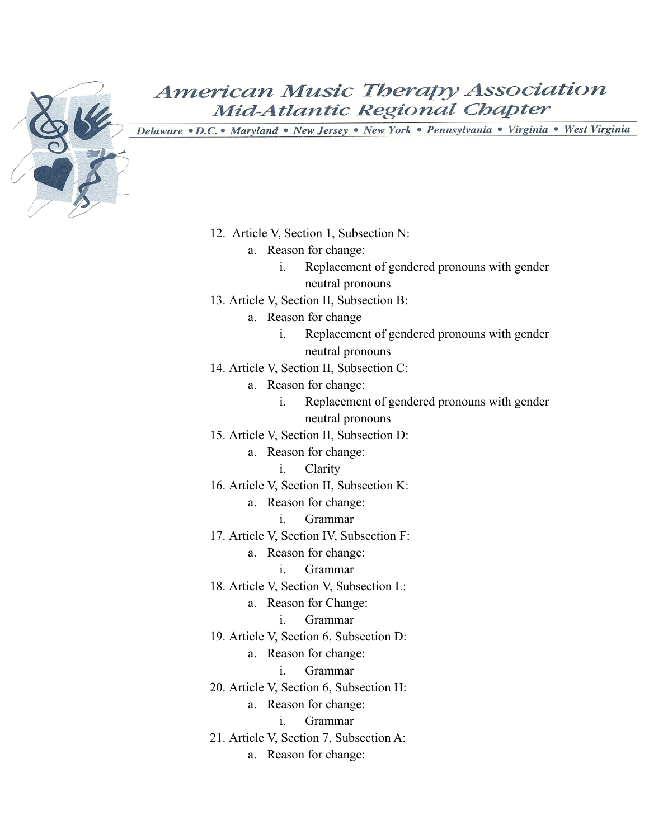![](_page_16_Picture_0.jpeg)

- 12. Article V, Section 1, Subsection N:
	- a. Reason for change:
		- i. Replacement of gendered pronouns with gender neutral pronouns
- 13. Article V, Section II, Subsection B:
	- a. Reason for change
		- i. Replacement of gendered pronouns with gender neutral pronouns
- 14. Article V, Section II, Subsection C:
	- a. Reason for change:
		- i. Replacement of gendered pronouns with gender neutral pronouns
- 15. Article V, Section II, Subsection D:
	- a. Reason for change:
		- i. Clarity
- 16. Article V, Section II, Subsection K:
	- a. Reason for change:
		- i. Grammar
- 17. Article V, Section IV, Subsection F:
	- a. Reason for change:
		- i. Grammar
- 18. Article V, Section V, Subsection L:
	- a. Reason for Change:
		- i. Grammar
- 19. Article V, Section 6, Subsection D:
	- a. Reason for change:
		- i. Grammar
- 20. Article V, Section 6, Subsection H:
	- a. Reason for change:
		- i. Grammar
- 21. Article V, Section 7, Subsection A:
	- a. Reason for change: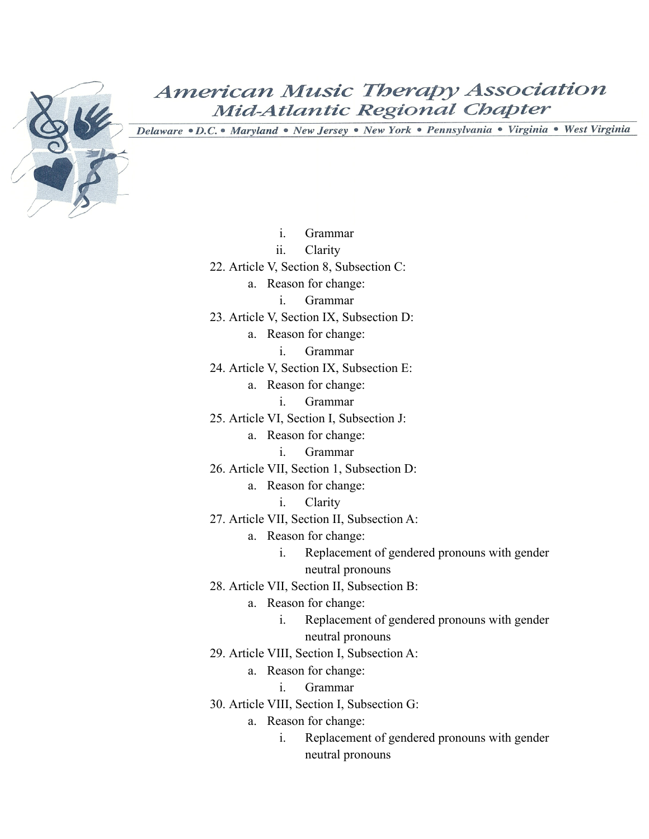![](_page_17_Picture_0.jpeg)

- i. Grammar
- ii. Clarity
- 22. Article V, Section 8, Subsection C:
	- a. Reason for change:
		- i. Grammar
- 23. Article V, Section IX, Subsection D:
	- a. Reason for change:
		- i. Grammar
- 24. Article V, Section IX, Subsection E:
	- a. Reason for change:
		- i. Grammar
- 25. Article VI, Section I, Subsection J:
	- a. Reason for change:
		- i. Grammar
- 26. Article VII, Section 1, Subsection D:
	- a. Reason for change:
		- i. Clarity
- 27. Article VII, Section II, Subsection A:
	- a. Reason for change:
		- i. Replacement of gendered pronouns with gender neutral pronouns
- 28. Article VII, Section II, Subsection B:
	- a. Reason for change:
		- i. Replacement of gendered pronouns with gender neutral pronouns
- 29. Article VIII, Section I, Subsection A:
	- a. Reason for change:
		- i. Grammar
- 30. Article VIII, Section I, Subsection G:
	- a. Reason for change:
		- i. Replacement of gendered pronouns with gender neutral pronouns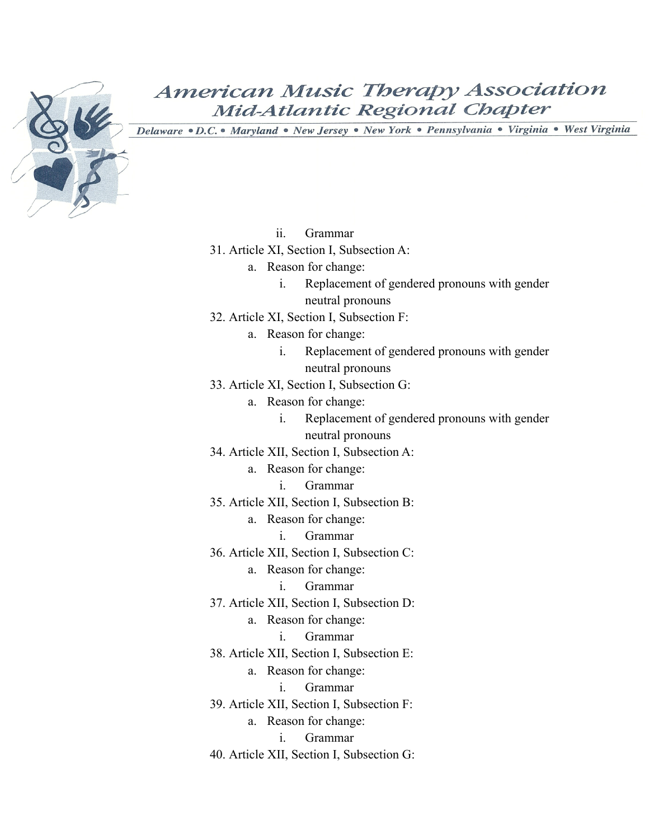![](_page_18_Picture_0.jpeg)

- ii. Grammar
- 31. Article XI, Section I, Subsection A:
	- a. Reason for change:
		- i. Replacement of gendered pronouns with gender neutral pronouns
- 32. Article XI, Section I, Subsection F:
	- a. Reason for change:
		- i. Replacement of gendered pronouns with gender neutral pronouns
- 33. Article XI, Section I, Subsection G:
	- a. Reason for change:
		- i. Replacement of gendered pronouns with gender neutral pronouns
- 34. Article XII, Section I, Subsection A:
	- a. Reason for change:
		- i. Grammar
- 35. Article XII, Section I, Subsection B:
	- a. Reason for change:
		- i. Grammar
- 36. Article XII, Section I, Subsection C:
	- a. Reason for change:
		- i. Grammar
- 37. Article XII, Section I, Subsection D:
	- a. Reason for change:
		- i. Grammar
- 38. Article XII, Section I, Subsection E:
	- a. Reason for change:
		- i. Grammar
- 39. Article XII, Section I, Subsection F:
	- a. Reason for change:
		- i. Grammar
- 40. Article XII, Section I, Subsection G: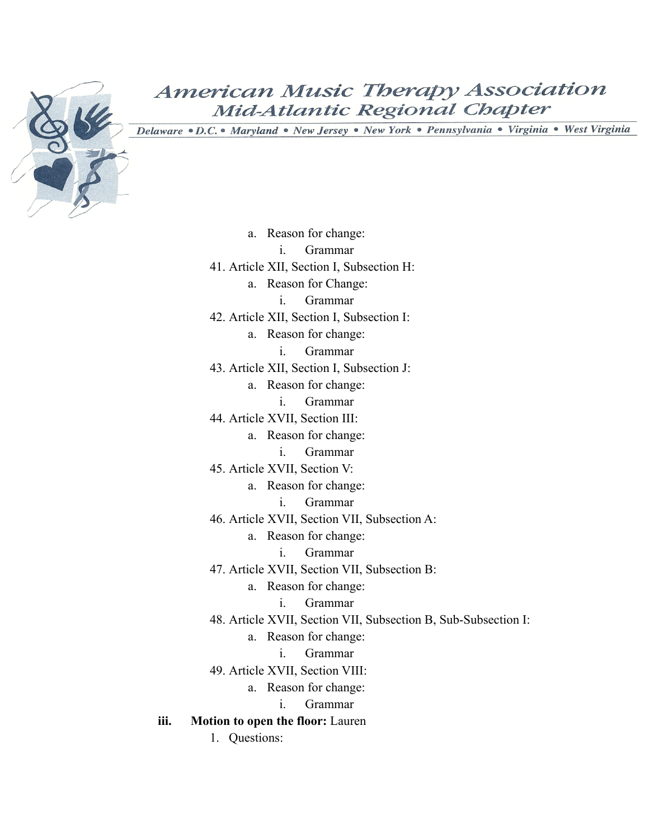![](_page_19_Picture_0.jpeg)

Delaware · D.C. · Maryland · New Jersey · New York · Pennsylvania · Virginia · West Virginia

a. Reason for change: i. Grammar 41. Article XII, Section I, Subsection H: a. Reason for Change: i. Grammar 42. Article XII, Section I, Subsection I: a. Reason for change: i. Grammar 43. Article XII, Section I, Subsection J: a. Reason for change: i. Grammar 44. Article XVII, Section III: a. Reason for change: i. Grammar 45. Article XVII, Section V: a. Reason for change: i. Grammar 46. Article XVII, Section VII, Subsection A: a. Reason for change: i. Grammar 47. Article XVII, Section VII, Subsection B: a. Reason for change: i. Grammar 48. Article XVII, Section VII, Subsection B, Sub-Subsection I: a. Reason for change: i. Grammar 49. Article XVII, Section VIII: a. Reason for change: i. Grammar **iii. Motion to open the floor:** Lauren 1. Questions: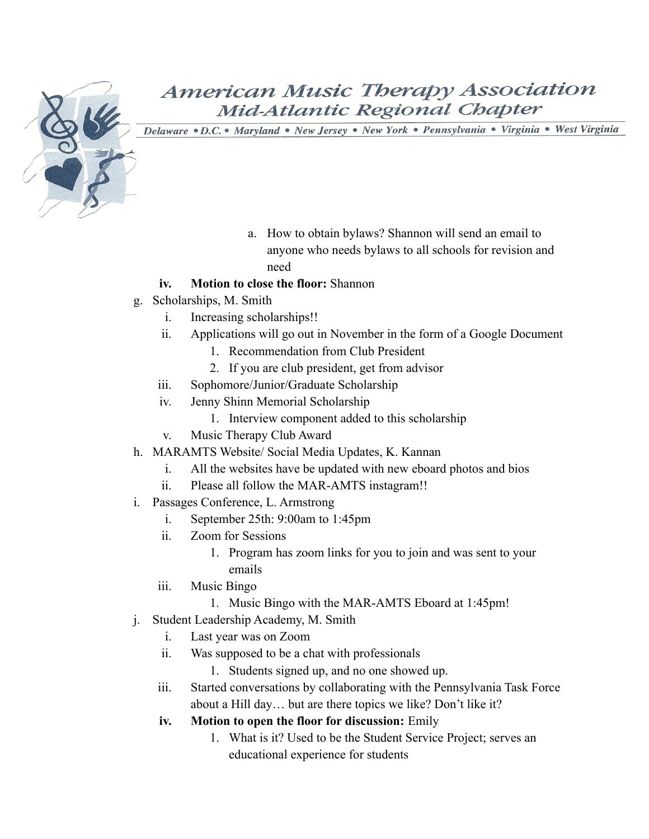![](_page_20_Picture_0.jpeg)

- a. How to obtain bylaws? Shannon will send an email to anyone who needs bylaws to all schools for revision and need
- **iv. Motion to close the floor:** Shannon
- g. Scholarships, M. Smith
	- i. Increasing scholarships!!
	- ii. Applications will go out in November in the form of a Google Document
		- 1. Recommendation from Club President
		- 2. If you are club president, get from advisor
	- iii. Sophomore/Junior/Graduate Scholarship
	- iv. Jenny Shinn Memorial Scholarship
		- 1. Interview component added to this scholarship
	- v. Music Therapy Club Award
- h. MARAMTS Website/ Social Media Updates, K. Kannan
	- i. All the websites have be updated with new eboard photos and bios
	- ii. Please all follow the MAR-AMTS instagram!!
- i. Passages Conference, L. Armstrong
	- i. September 25th: 9:00am to 1:45pm
	- ii. Zoom for Sessions
		- 1. Program has zoom links for you to join and was sent to your emails
	- iii. Music Bingo
		- 1. Music Bingo with the MAR-AMTS Eboard at 1:45pm!
- j. Student Leadership Academy, M. Smith
	- i. Last year was on Zoom
	- ii. Was supposed to be a chat with professionals
		- 1. Students signed up, and no one showed up.
	- iii. Started conversations by collaborating with the Pennsylvania Task Force about a Hill day… but are there topics we like? Don't like it?
	- **iv. Motion to open the floor for discussion:** Emily
		- 1. What is it? Used to be the Student Service Project; serves an educational experience for students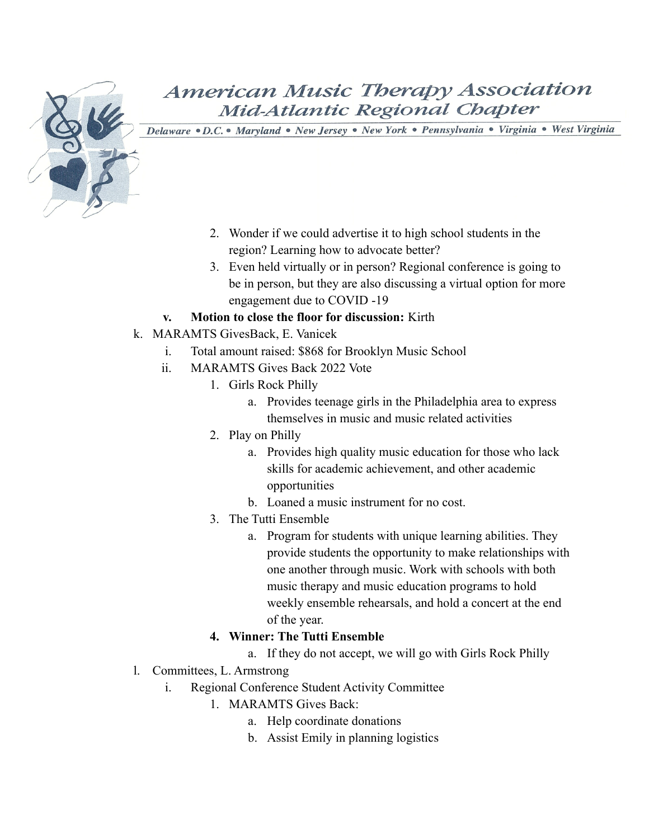![](_page_21_Picture_0.jpeg)

Delaware · D.C. • Maryland · New Jersey · New York · Pennsylvania · Virginia · West Virginia

- 2. Wonder if we could advertise it to high school students in the region? Learning how to advocate better?
- 3. Even held virtually or in person? Regional conference is going to be in person, but they are also discussing a virtual option for more engagement due to COVID -19
- **v. Motion to close the floor for discussion:** Kirth
- k. MARAMTS GivesBack, E. Vanicek
	- i. Total amount raised: \$868 for Brooklyn Music School
	- ii. MARAMTS Gives Back 2022 Vote
		- 1. Girls Rock Philly
			- a. Provides teenage girls in the Philadelphia area to express themselves in music and music related activities
		- 2. Play on Philly
			- a. Provides high quality music education for those who lack skills for academic achievement, and other academic opportunities
			- b. Loaned a music instrument for no cost.
		- 3. The Tutti Ensemble
			- a. Program for students with unique learning abilities. They provide students the opportunity to make relationships with one another through music. Work with schools with both music therapy and music education programs to hold weekly ensemble rehearsals, and hold a concert at the end of the year.

#### **4. Winner: The Tutti Ensemble**

- a. If they do not accept, we will go with Girls Rock Philly
- l. Committees, L. Armstrong
	- i. Regional Conference Student Activity Committee
		- 1. MARAMTS Gives Back:
			- a. Help coordinate donations
			- b. Assist Emily in planning logistics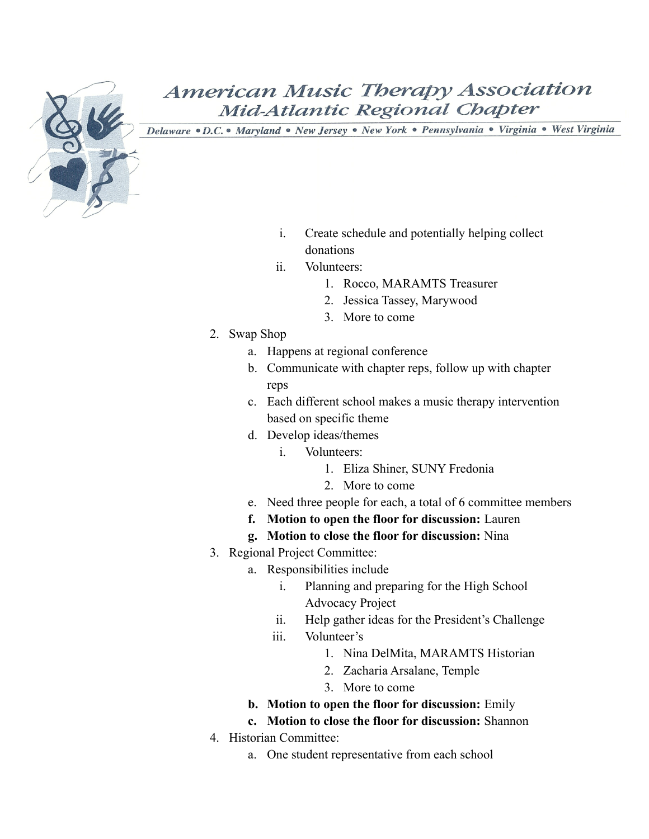![](_page_22_Picture_0.jpeg)

- i. Create schedule and potentially helping collect donations
- ii. Volunteers:
	- 1. Rocco, MARAMTS Treasurer
	- 2. Jessica Tassey, Marywood
	- 3. More to come
- 2. Swap Shop
	- a. Happens at regional conference
	- b. Communicate with chapter reps, follow up with chapter reps
	- c. Each different school makes a music therapy intervention based on specific theme
	- d. Develop ideas/themes
		- i. Volunteers:
			- 1. Eliza Shiner, SUNY Fredonia
			- 2. More to come
	- e. Need three people for each, a total of 6 committee members
	- **f. Motion to open the floor for discussion:** Lauren
	- **g. Motion to close the floor for discussion:** Nina
- 3. Regional Project Committee:
	- a. Responsibilities include
		- i. Planning and preparing for the High School Advocacy Project
		- ii. Help gather ideas for the President's Challenge
		- iii. Volunteer's
			- 1. Nina DelMita, MARAMTS Historian
			- 2. Zacharia Arsalane, Temple
			- 3. More to come
	- **b. Motion to open the floor for discussion:** Emily
	- **c. Motion to close the floor for discussion:** Shannon
- 4. Historian Committee:
	- a. One student representative from each school